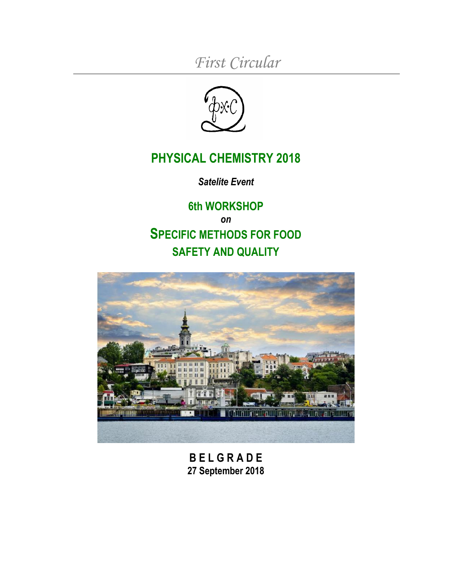*First Circular*



# **PHYSICAL CHEMISTRY 2018**

*Satelite Event*

**6th WORKSHOP** *on* **SPECIFIC METHODS FOR FOOD SAFETY AND QUALITY**



**B E L G R A D E 27 September 2018**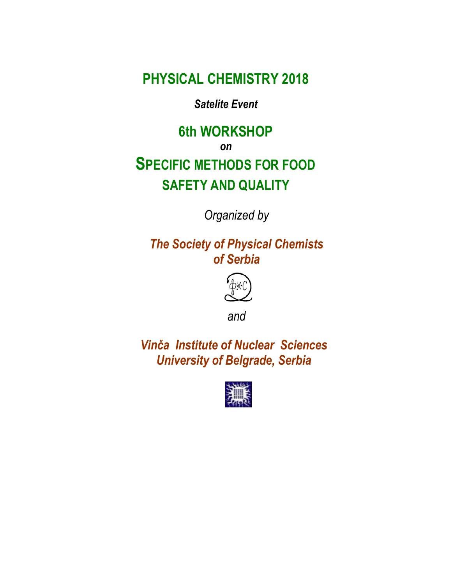**PHYSICAL CHEMISTRY 2018**

*Satelite Event*

# **6th WORKSHOP** *on* **SPECIFIC METHODS FOR FOOD SAFETY AND QUALITY**

*Organized by*

*The Society of Physical Chemists of Serbia*



*and*

*Vinča Institute of Nuclear Sciences University of Belgrade, Serbia*

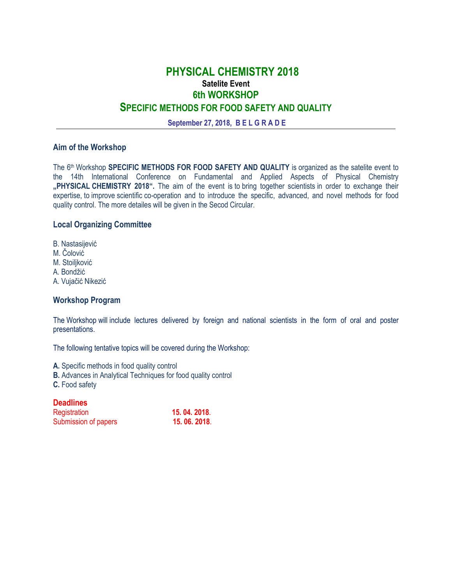# **PHYSICAL CHEMISTRY 2018 Satelite Event 6th WORKSHOP SPECIFIC METHODS FOR FOOD SAFETY AND QUALITY**

**September 27, 2018, B E L G R A D E**

#### **Aim of the Workshop**

The 6 th Workshop **SPECIFIC METHODS FOR FOOD SAFETY AND QUALITY** is organized as the satelite event to the 14th International Conference on Fundamental and Applied Aspects of Physical Chemistry **"PHYSICAL CHEMISTRY 2018".** The aim of the event is to bring together scientists in order to exchange their expertise, to improve scientific co-operation and to introduce the specific, advanced, and novel methods for food quality control. The more detailes will be given in the Secod Circular.

#### **Local Organizing Committee**

B. Nastasijević M. Čolović M. Stoiljković A. Bondžić A. Vujačić Nikezić

#### **Workshop Program**

The Workshop will include lectures delivered by foreign and national scientists in the form of oral and poster presentations.

The following tentative topics will be covered during the Workshop:

**A.** Specific methods in food quality control

- **B.** Advances in Analytical Techniques for food quality control
- **C.** Food safety

## **Deadlines**

| Registration         | 15.04.2018. |
|----------------------|-------------|
| Submission of papers | 15.06.2018. |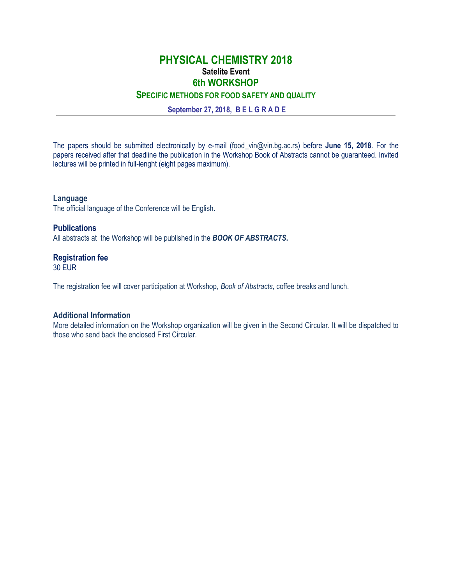# **PHYSICAL CHEMISTRY 2018 Satelite Event 6th WORKSHOP**

**SPECIFIC METHODS FOR FOOD SAFETY AND QUALITY**

**September 27, 2018, B E L G R A D E**

The papers should be submitted electronically by e-mail (food\_vin@vin.bg.ac.rs) before **June 15, 2018**. For the papers received after that deadline the publication in the Workshop Book of Abstracts cannot be guaranteed. Invited lectures will be printed in full-lenght (eight pages maximum).

**Language** The official language of the Conference will be English.

**Publications** All abstracts at the Workshop will be published in the *BOOK OF ABSTRACTS***.** 

# **Registration fee**

30 EUR

The registration fee will cover participation at Workshop, *Book of Abstracts,* coffee breaks and lunch.

## **Additional Information**

More detailed information on the Workshop organization will be given in the Second Circular. It will be dispatched to those who send back the enclosed First Circular.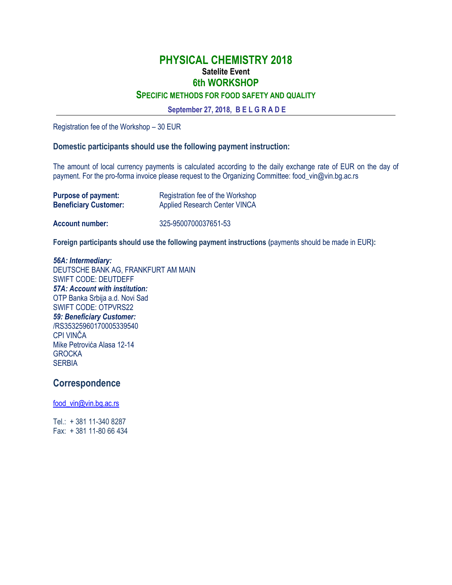# **PHYSICAL CHEMISTRY 2018 Satelite Event 6th WORKSHOP**

## **SPECIFIC METHODS FOR FOOD SAFETY AND QUALITY**

**September 27, 2018, B E L G R A D E**

Registration fee of the Workshop – 30 EUR

#### **Domestic participants should use the following payment instruction:**

The amount of local currency payments is calculated according to the daily exchange rate of EUR on the day of payment. For the pro-forma invoice please request to the Organizing Committee: food\_vin@vin.bg.ac.rs

| <b>Purpose of payment:</b>   | Registration fee of the Workshop     |
|------------------------------|--------------------------------------|
| <b>Beneficiary Customer:</b> | <b>Applied Research Center VINCA</b> |
| <b>Account number:</b>       | 325-9500700037651-53                 |

**Foreign participants should use the following payment instructions (**payments should be made in EUR**):**

#### *56A: Intermediary:* DEUTSCHE BANK AG, FRANKFURT AM MAIN SWIFT CODE: DEUTDEFF *57A: Account with institution:* OTP Banka Srbija a.d. Novi Sad SWIFT CODE: OTPVRS22 *59: Beneficiary Customer:* /RS35325960170005339540 CPI VINČA Mike Petrovića Alasa 12-14 **GROCKA SERBIA**

**Correspondence**

[food\\_vin@vin.bg.ac.rs](mailto:food_vin@vin.bg.ac.rs)

Tel.: + 381 11-340 8287 Fax: + 381 11-80 66 434